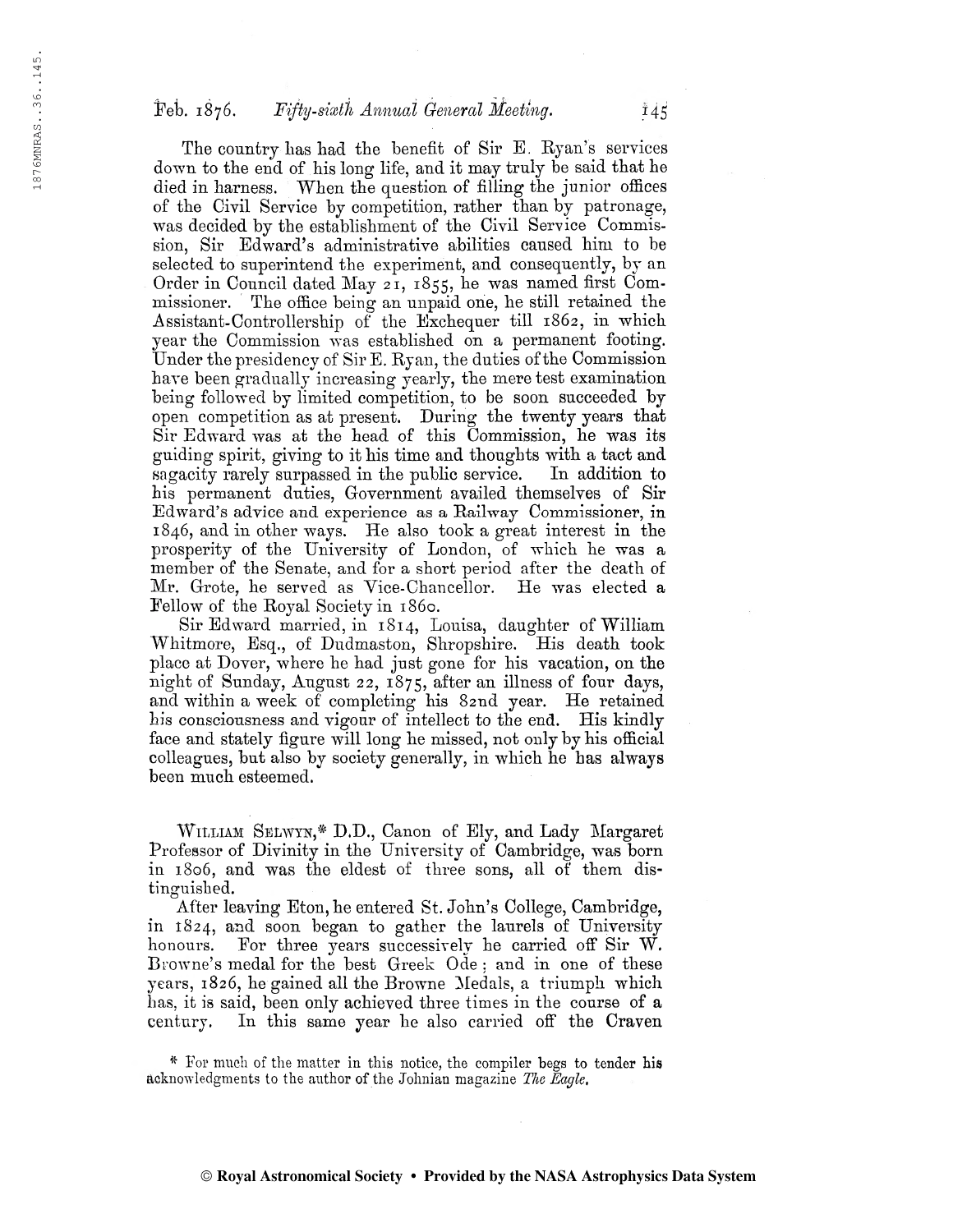## Feb. 1876. Fifty-sixth Annual General Meeting.  $145$

The country has had the benefit of Sir E. Ryan's services down to the end of his long life, and it may truly be said that he died in harness. When the question of filling the junior offices of the Civil Service by competition, rather than by patronage, was decided by the establishment of the Civil Service Commission, Sir Edward's administrative abilities caused him to be selected to superintend the experiment, and consequently, by an Order in Council dated May 21, 1855, he was named first Commissioner. The office being an unpaid one, he still retained the Assistant-Controllership of the Exchequer till 1862, in which year the Commission was established on a permanent footing. Under the presidency of Sir E. Ryan, the duties of the Commission have been gradually increasing yearly, the mere test examination being followed by limited competition, to be soon succeeded by open competition as at present. During the twenty years that Sir Edward was at the head of this Commission, he was its guiding spirit, giving to it his time and thoughts with a tact and sagacity rarely surpassed in the public service. In addition to his permanent duties, Government availed themselves of Sir Edward's advice and experience as a Railway Commissioner, in 1846, and in other ways. He also took a great interest in the prosperity of the University of London, of which he was a member of the Senate, and for a short period after the death of Mr. Grote, he served as Yice-Chancellor. He was elected a Fellow of the Royal Society in 1860.

Sir Edward married, in 1814, Louisa, daughter of William Whitmore, Esq., of Dudmaston, Shropshire. His death took place at Dover, where he had just gone for his vacation, on the night of Sunday, August 22,  $1875$ , after an illness of four days, and within a week of completing his 82nd year. He retained his consciousness and vigour of intellect to the end. His kindly face and stately figure will long he missed, not only by his official colleagues, but also by society generally, in which he has always been much esteemed.

William Selwyn,# D.D., Canon of Ely, and Lady Margaret Professor of Divinity in the University of Cambridge, was born in 1806, and was the eldest of three sons, all of them distinguished.

After leaving Eton, he entered St. John's College, Cambridge, in 1824, and soon began to gather the laurels of University honours. For three years successively he carried off Sir W. Browne's medal for the best Greek Ode : and in one of these years, 1826, he gained all the Browne Medals, a triumph which has, it is said, been only achieved three times in the course of a century. In this same year he also carried off the Craven

^ Tor mueli of the matter in this notice, the compiler begs to tender bis acknowledgments to the author of the Johnian magazine The Eagle.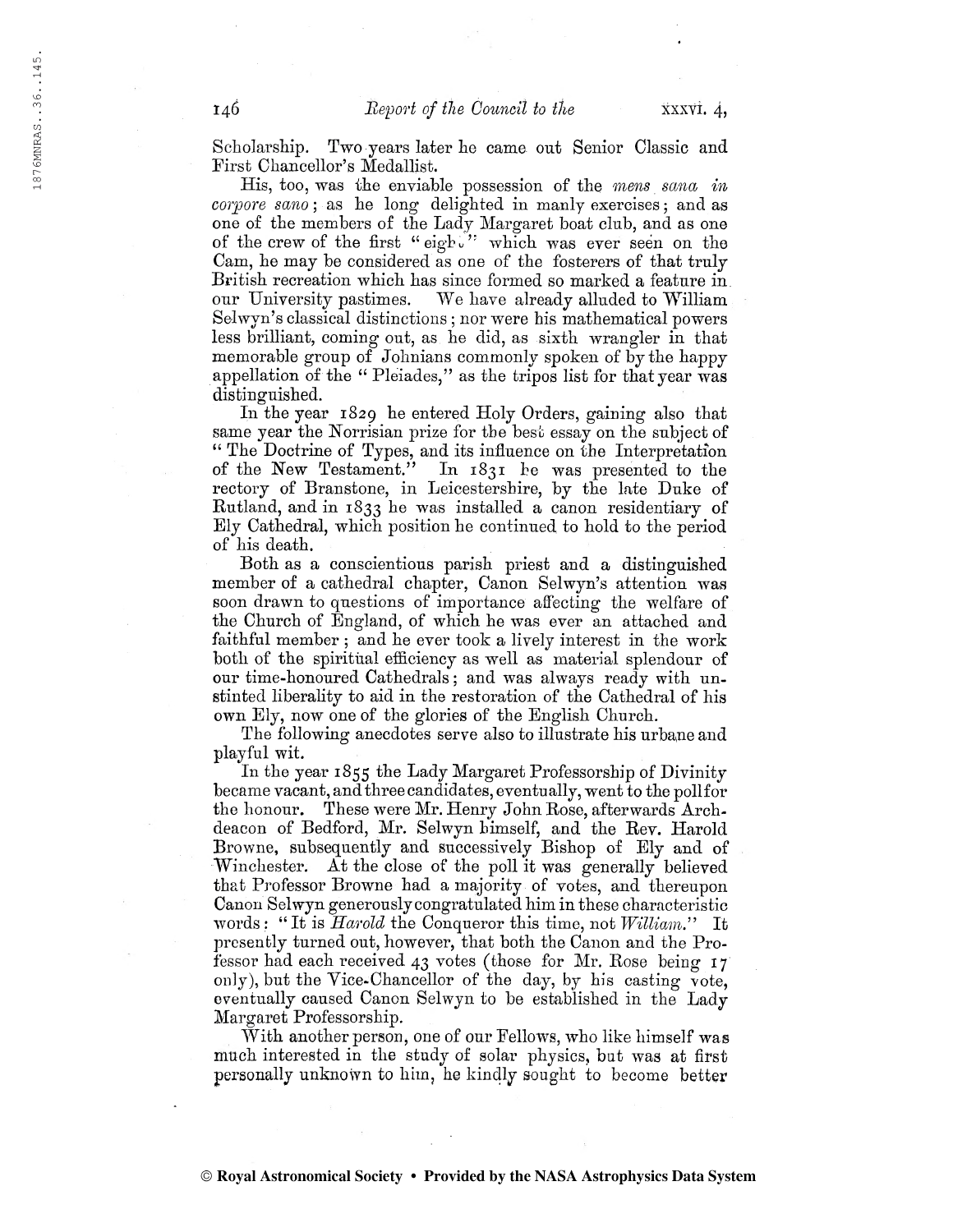Scholarship. Two years later he came out Senior Classic and First Chancellor's Medallist.

His, too, was the enviable possession of the mens sana in corpore sano; as he long delighted in manly exercises; and as one of the members of the Lady Margaret boat club, and as one of the crew of the first "eight" which was ever seen on the Cam, he may be considered as one of the fosterers of that truly British recreation which has since formed so marked a feature in. our University pastimes. We have already alluded to William Solwyn's classical distinctions ; nor were his mathematical powers less brilliant, coming out, as he did, as sixth wrangler in that memorable group of Johnians commonly spoken of by the happy appellation of the " Pleiades," as the tripos list for that year was distinguished.

In the year 1829 he entered Holy Orders, gaining also that same year the Horrisian prize for the best essay on the subject of " The Doctrine of Types, and its influence on the Interpretation of the New Testament." In  $1831$  he was presented to the In  $1831$  he was presented to the rectory of Branstone, in Leicestershire, by the late Duke of Butland, and in 1833 he was installed a canon residentiary of Ely Cathedral, which position he continued to hold to the period of his death.

Both as a conscientious parish priest and a distinguished member of a cathedral chapter, Canon Selwyn's attention was soon drawn to questions of importance affecting the welfare of the Church of England, of which he was ever an attached and faithful member ; and he ever took a lively interest in the work both of the spiritual efficiency as well as material splendour of our time-honoured Cathedrals ; and was always ready with unstinted liberality to aid in the restoration of the Cathedral of his own Ely, now one of the glories of the English Church.

The following anecdotes serve also to illustrate his urbane and playful wit.

In the year 1855 the Lady Margaret Professorship of Divinity became vacant, and three candidates, eventually, went to the pollfor the honour. These were Mr. Henry John Rose, afterwards Archdeacon of Bedford, Mr. Selwyn himself, and the Rev. Harold Browne, subsequently and successively Bishop of Ely and of Winchester. At the close of the poll it was generally believed that Professor Browne had a majority of votes, and thereupon Canon Selwyn generouslycongratulated him in these characteristic words: "It is *Harold* the Conqueror this time, not *William*." It presently turned out, however, that both the Canon and the Professor had each received 43 votes (those for Mr. Rose being 17 only), but the Vice-Chancellor of the day, by his casting vote, eventually caused Canon Selwyn to be established in the Lady Margaret Professorship.

With another person, one of our Fellows, who like himself was much interested in the study of solar physics, but was at first personally unknown to him, he kindly sought to become better